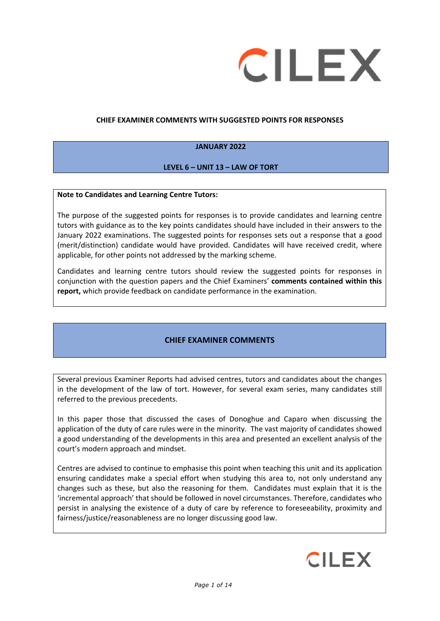

### **CHIEF EXAMINER COMMENTS WITH SUGGESTED POINTS FOR RESPONSES**

### **JANUARY 2022**

### **LEVEL 6 – UNIT 13 – LAW OF TORT**

#### **Note to Candidates and Learning Centre Tutors:**

The purpose of the suggested points for responses is to provide candidates and learning centre tutors with guidance as to the key points candidates should have included in their answers to the January 2022 examinations. The suggested points for responses sets out a response that a good (merit/distinction) candidate would have provided. Candidates will have received credit, where applicable, for other points not addressed by the marking scheme.

Candidates and learning centre tutors should review the suggested points for responses in conjunction with the question papers and the Chief Examiners' **comments contained within this report,** which provide feedback on candidate performance in the examination.

## **CHIEF EXAMINER COMMENTS**

Several previous Examiner Reports had advised centres, tutors and candidates about the changes in the development of the law of tort. However, for several exam series, many candidates still referred to the previous precedents.

In this paper those that discussed the cases of Donoghue and Caparo when discussing the application of the duty of care rules were in the minority. The vast majority of candidates showed a good understanding of the developments in this area and presented an excellent analysis of the court's modern approach and mindset.

Centres are advised to continue to emphasise this point when teaching this unit and its application ensuring candidates make a special effort when studying this area to, not only understand any changes such as these, but also the reasoning for them. Candidates must explain that it is the 'incremental approach' that should be followed in novel circumstances. Therefore, candidates who persist in analysing the existence of a duty of care by reference to foreseeability, proximity and fairness/justice/reasonableness are no longer discussing good law.

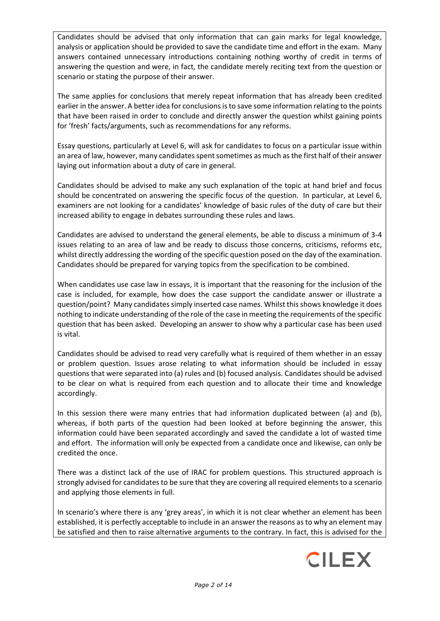Candidates should be advised that only information that can gain marks for legal knowledge, analysis or application should be provided to save the candidate time and effort in the exam. Many answers contained unnecessary introductions containing nothing worthy of credit in terms of answering the question and were, in fact, the candidate merely reciting text from the question or scenario or stating the purpose of their answer.

The same applies for conclusions that merely repeat information that has already been credited earlier in the answer. A better idea for conclusions is to save some information relating to the points that have been raised in order to conclude and directly answer the question whilst gaining points for 'fresh' facts/arguments, such as recommendations for any reforms.

Essay questions, particularly at Level 6, will ask for candidates to focus on a particular issue within an area of law, however, many candidates spent sometimes as much as the first half of their answer laying out information about a duty of care in general.

Candidates should be advised to make any such explanation of the topic at hand brief and focus should be concentrated on answering the specific focus of the question. In particular, at Level 6, examiners are not looking for a candidates' knowledge of basic rules of the duty of care but their increased ability to engage in debates surrounding these rules and laws.

Candidates are advised to understand the general elements, be able to discuss a minimum of 3-4 issues relating to an area of law and be ready to discuss those concerns, criticisms, reforms etc, whilst directly addressing the wording of the specific question posed on the day of the examination. Candidates should be prepared for varying topics from the specification to be combined.

When candidates use case law in essays, it is important that the reasoning for the inclusion of the case is included, for example, how does the case support the candidate answer or illustrate a question/point? Many candidatessimply inserted case names. Whilst this shows knowledge it does nothing to indicate understanding of the role of the case in meeting the requirements of the specific question that has been asked. Developing an answer to show why a particular case has been used is vital.

Candidates should be advised to read very carefully what is required of them whether in an essay or problem question. Issues arose relating to what information should be included in essay questions that were separated into (a) rules and (b) focused analysis. Candidates should be advised to be clear on what is required from each question and to allocate their time and knowledge accordingly.

In this session there were many entries that had information duplicated between (a) and (b), whereas, if both parts of the question had been looked at before beginning the answer, this information could have been separated accordingly and saved the candidate a lot of wasted time and effort. The information will only be expected from a candidate once and likewise, can only be credited the once.

There was a distinct lack of the use of IRAC for problem questions. This structured approach is strongly advised for candidates to be sure that they are covering all required elements to a scenario and applying those elements in full.

In scenario's where there is any 'grey areas', in which it is not clear whether an element has been established, it is perfectly acceptable to include in an answer the reasons as to why an element may be satisfied and then to raise alternative arguments to the contrary. In fact, this is advised for the

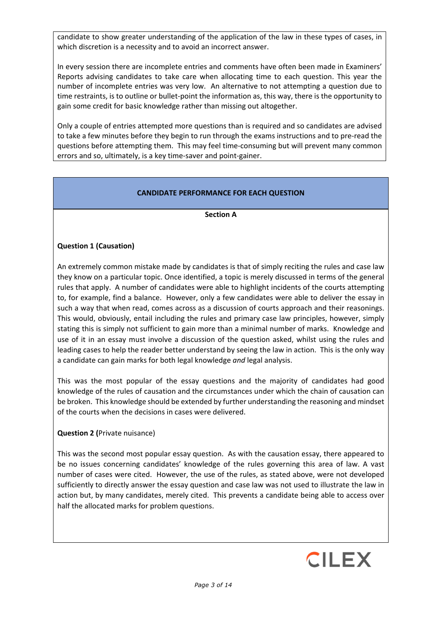candidate to show greater understanding of the application of the law in these types of cases, in which discretion is a necessity and to avoid an incorrect answer.

In every session there are incomplete entries and comments have often been made in Examiners' Reports advising candidates to take care when allocating time to each question. This year the number of incomplete entries was very low. An alternative to not attempting a question due to time restraints, is to outline or bullet-point the information as, this way, there is the opportunity to gain some credit for basic knowledge rather than missing out altogether.

Only a couple of entries attempted more questions than is required and so candidates are advised to take a few minutes before they begin to run through the exams instructions and to pre-read the questions before attempting them. This may feel time-consuming but will prevent many common errors and so, ultimately, is a key time-saver and point-gainer.

## **CANDIDATE PERFORMANCE FOR EACH QUESTION**

### **Section A**

## **Question 1 (Causation)**

An extremely common mistake made by candidates is that of simply reciting the rules and case law they know on a particular topic. Once identified, a topic is merely discussed in terms of the general rules that apply. A number of candidates were able to highlight incidents of the courts attempting to, for example, find a balance. However, only a few candidates were able to deliver the essay in such a way that when read, comes across as a discussion of courts approach and their reasonings. This would, obviously, entail including the rules and primary case law principles, however, simply stating this is simply not sufficient to gain more than a minimal number of marks. Knowledge and use of it in an essay must involve a discussion of the question asked, whilst using the rules and leading cases to help the reader better understand by seeing the law in action. This is the only way a candidate can gain marks for both legal knowledge *and* legal analysis.

This was the most popular of the essay questions and the majority of candidates had good knowledge of the rules of causation and the circumstances under which the chain of causation can be broken. This knowledge should be extended by further understanding the reasoning and mindset of the courts when the decisions in cases were delivered.

#### **Question 2 (**Private nuisance)

This was the second most popular essay question. As with the causation essay, there appeared to be no issues concerning candidates' knowledge of the rules governing this area of law. A vast number of cases were cited. However, the use of the rules, as stated above, were not developed sufficiently to directly answer the essay question and case law was not used to illustrate the law in action but, by many candidates, merely cited. This prevents a candidate being able to access over half the allocated marks for problem questions.

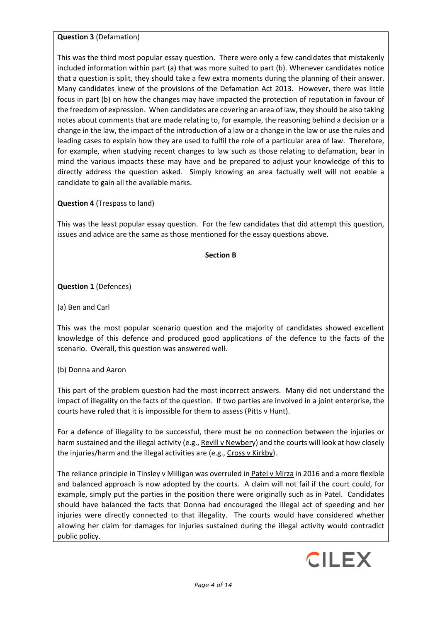## **Question 3** (Defamation)

This was the third most popular essay question. There were only a few candidates that mistakenly included information within part (a) that was more suited to part (b). Whenever candidates notice that a question is split, they should take a few extra moments during the planning of their answer. Many candidates knew of the provisions of the Defamation Act 2013. However, there was little focus in part (b) on how the changes may have impacted the protection of reputation in favour of the freedom of expression. When candidates are covering an area of law, they should be also taking notes about comments that are made relating to, for example, the reasoning behind a decision or a change in the law, the impact of the introduction of a law or a change in the law or use the rules and leading cases to explain how they are used to fulfil the role of a particular area of law. Therefore, for example, when studying recent changes to law such as those relating to defamation, bear in mind the various impacts these may have and be prepared to adjust your knowledge of this to directly address the question asked. Simply knowing an area factually well will not enable a candidate to gain all the available marks.

# **Question 4** (Trespass to land)

This was the least popular essay question. For the few candidates that did attempt this question, issues and advice are the same as those mentioned for the essay questions above.

### **Section B**

# **Question 1** (Defences)

(a) Ben and Carl

This was the most popular scenario question and the majority of candidates showed excellent knowledge of this defence and produced good applications of the defence to the facts of the scenario. Overall, this question was answered well.

(b) Donna and Aaron

This part of the problem question had the most incorrect answers. Many did not understand the impact of illegality on the facts of the question. If two parties are involved in a joint enterprise, the courts have ruled that it is impossible for them to assess (Pitts v Hunt).

For a defence of illegality to be successful, there must be no connection between the injuries or harm sustained and the illegal activity (e.g., Revill v Newbery) and the courts will look at how closely the injuries/harm and the illegal activities are (e.g., Cross v Kirkby).

The reliance principle in Tinsley v Milligan was overruled in Patel v Mirza in 2016 and a more flexible and balanced approach is now adopted by the courts. A claim will not fail if the court could, for example, simply put the parties in the position there were originally such as in Patel. Candidates should have balanced the facts that Donna had encouraged the illegal act of speeding and her injuries were directly connected to that illegality. The courts would have considered whether allowing her claim for damages for injuries sustained during the illegal activity would contradict public policy.

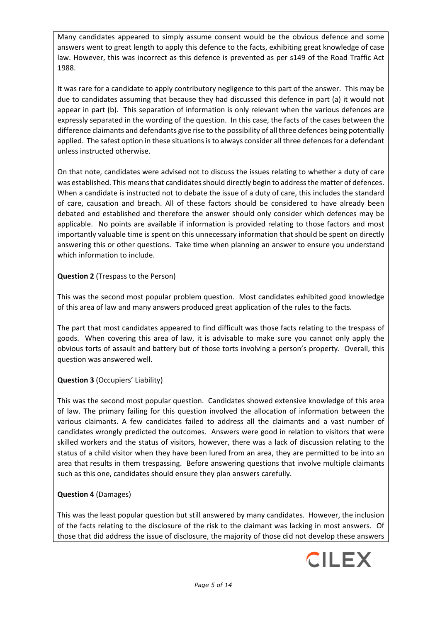Many candidates appeared to simply assume consent would be the obvious defence and some answers went to great length to apply this defence to the facts, exhibiting great knowledge of case law. However, this was incorrect as this defence is prevented as per s149 of the Road Traffic Act 1988.

It was rare for a candidate to apply contributory negligence to this part of the answer. This may be due to candidates assuming that because they had discussed this defence in part (a) it would not appear in part (b). This separation of information is only relevant when the various defences are expressly separated in the wording of the question. In this case, the facts of the cases between the difference claimants and defendants give rise to the possibility of all three defences being potentially applied. The safest option in these situations is to always consider all three defences for a defendant unless instructed otherwise.

On that note, candidates were advised not to discuss the issues relating to whether a duty of care was established. This means that candidates should directly begin to address the matter of defences. When a candidate is instructed not to debate the issue of a duty of care, this includes the standard of care, causation and breach. All of these factors should be considered to have already been debated and established and therefore the answer should only consider which defences may be applicable. No points are available if information is provided relating to those factors and most importantly valuable time is spent on this unnecessary information that should be spent on directly answering this or other questions. Take time when planning an answer to ensure you understand which information to include.

# **Question 2** (Trespass to the Person)

This was the second most popular problem question. Most candidates exhibited good knowledge of this area of law and many answers produced great application of the rules to the facts.

The part that most candidates appeared to find difficult was those facts relating to the trespass of goods. When covering this area of law, it is advisable to make sure you cannot only apply the obvious torts of assault and battery but of those torts involving a person's property. Overall, this question was answered well.

# **Question 3** (Occupiers' Liability)

This was the second most popular question. Candidates showed extensive knowledge of this area of law. The primary failing for this question involved the allocation of information between the various claimants. A few candidates failed to address all the claimants and a vast number of candidates wrongly predicted the outcomes. Answers were good in relation to visitors that were skilled workers and the status of visitors, however, there was a lack of discussion relating to the status of a child visitor when they have been lured from an area, they are permitted to be into an area that results in them trespassing. Before answering questions that involve multiple claimants such as this one, candidates should ensure they plan answers carefully.

## **Question 4** (Damages)

This was the least popular question but still answered by many candidates. However, the inclusion of the facts relating to the disclosure of the risk to the claimant was lacking in most answers. Of those that did address the issue of disclosure, the majority of those did not develop these answers

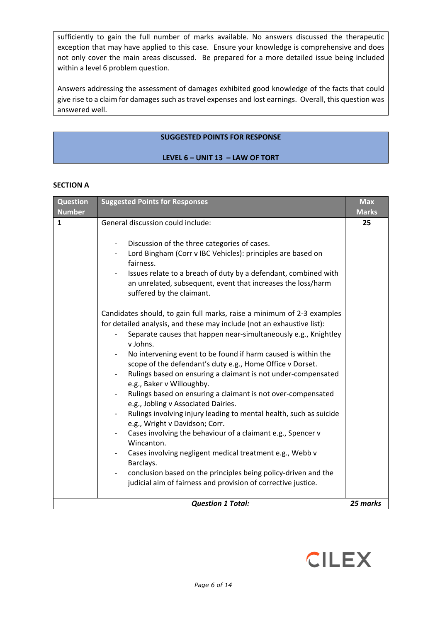sufficiently to gain the full number of marks available. No answers discussed the therapeutic exception that may have applied to this case. Ensure your knowledge is comprehensive and does not only cover the main areas discussed. Be prepared for a more detailed issue being included within a level 6 problem question.

Answers addressing the assessment of damages exhibited good knowledge of the facts that could give rise to a claim for damages such as travel expenses and lost earnings. Overall, this question was answered well.

### **SUGGESTED POINTS FOR RESPONSE**

#### **LEVEL 6 – UNIT 13 – LAW OF TORT**

#### **SECTION A**

| <b>Question</b><br><b>Number</b> | <b>Suggested Points for Responses</b>                                                                                                                                                                                                                                                                                                                                                                                                                                                                                                                                                                                                                                                                                                                                                                                                                                                                                                                                                                                                                                                                                                                                                                                                                                                                                            | <b>Max</b><br><b>Marks</b> |
|----------------------------------|----------------------------------------------------------------------------------------------------------------------------------------------------------------------------------------------------------------------------------------------------------------------------------------------------------------------------------------------------------------------------------------------------------------------------------------------------------------------------------------------------------------------------------------------------------------------------------------------------------------------------------------------------------------------------------------------------------------------------------------------------------------------------------------------------------------------------------------------------------------------------------------------------------------------------------------------------------------------------------------------------------------------------------------------------------------------------------------------------------------------------------------------------------------------------------------------------------------------------------------------------------------------------------------------------------------------------------|----------------------------|
| $\mathbf{1}$                     | General discussion could include:<br>Discussion of the three categories of cases.<br>$\overline{\phantom{a}}$<br>Lord Bingham (Corr v IBC Vehicles): principles are based on<br>fairness.<br>Issues relate to a breach of duty by a defendant, combined with<br>an unrelated, subsequent, event that increases the loss/harm<br>suffered by the claimant.<br>Candidates should, to gain full marks, raise a minimum of 2-3 examples<br>for detailed analysis, and these may include (not an exhaustive list):<br>Separate causes that happen near-simultaneously e.g., Knightley<br>v Johns.<br>No intervening event to be found if harm caused is within the<br>scope of the defendant's duty e.g., Home Office v Dorset.<br>Rulings based on ensuring a claimant is not under-compensated<br>e.g., Baker v Willoughby.<br>Rulings based on ensuring a claimant is not over-compensated<br>e.g., Jobling v Associated Dairies.<br>Rulings involving injury leading to mental health, such as suicide<br>e.g., Wright v Davidson; Corr.<br>Cases involving the behaviour of a claimant e.g., Spencer v<br>Wincanton.<br>Cases involving negligent medical treatment e.g., Webb v<br>Barclays.<br>conclusion based on the principles being policy-driven and the<br>judicial aim of fairness and provision of corrective justice. | 25                         |
|                                  | <b>Question 1 Total:</b>                                                                                                                                                                                                                                                                                                                                                                                                                                                                                                                                                                                                                                                                                                                                                                                                                                                                                                                                                                                                                                                                                                                                                                                                                                                                                                         | 25 marks                   |

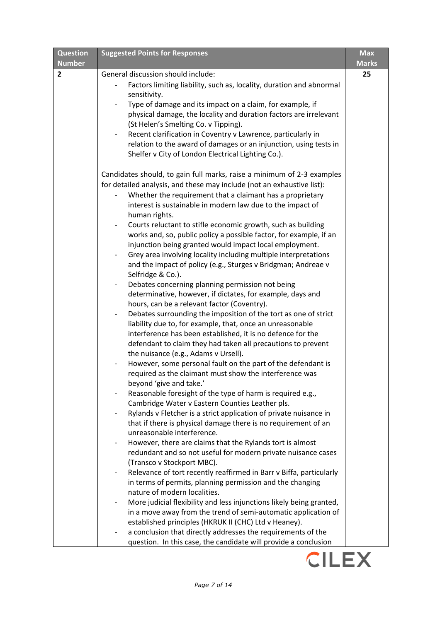| <b>Question</b> | <b>Suggested Points for Responses</b>                                                                | <b>Max</b>   |
|-----------------|------------------------------------------------------------------------------------------------------|--------------|
| <b>Number</b>   |                                                                                                      | <b>Marks</b> |
| $\overline{2}$  | General discussion should include:                                                                   | 25           |
|                 | Factors limiting liability, such as, locality, duration and abnormal                                 |              |
|                 | sensitivity.                                                                                         |              |
|                 | Type of damage and its impact on a claim, for example, if                                            |              |
|                 | physical damage, the locality and duration factors are irrelevant                                    |              |
|                 | (St Helen's Smelting Co. v Tipping).                                                                 |              |
|                 | Recent clarification in Coventry v Lawrence, particularly in                                         |              |
|                 | relation to the award of damages or an injunction, using tests in                                    |              |
|                 | Shelfer v City of London Electrical Lighting Co.).                                                   |              |
|                 | Candidates should, to gain full marks, raise a minimum of 2-3 examples                               |              |
|                 | for detailed analysis, and these may include (not an exhaustive list):                               |              |
|                 | Whether the requirement that a claimant has a proprietary                                            |              |
|                 | interest is sustainable in modern law due to the impact of                                           |              |
|                 | human rights.                                                                                        |              |
|                 | Courts reluctant to stifle economic growth, such as building                                         |              |
|                 | works and, so, public policy a possible factor, for example, if an                                   |              |
|                 | injunction being granted would impact local employment.                                              |              |
|                 | Grey area involving locality including multiple interpretations                                      |              |
|                 | and the impact of policy (e.g., Sturges v Bridgman; Andreae v                                        |              |
|                 | Selfridge & Co.).                                                                                    |              |
|                 | Debates concerning planning permission not being<br>$\overline{\phantom{a}}$                         |              |
|                 | determinative, however, if dictates, for example, days and                                           |              |
|                 | hours, can be a relevant factor (Coventry).                                                          |              |
|                 | Debates surrounding the imposition of the tort as one of strict<br>$\qquad \qquad -$                 |              |
|                 | liability due to, for example, that, once an unreasonable                                            |              |
|                 | interference has been established, it is no defence for the                                          |              |
|                 | defendant to claim they had taken all precautions to prevent                                         |              |
|                 | the nuisance (e.g., Adams v Ursell).<br>However, some personal fault on the part of the defendant is |              |
|                 | required as the claimant must show the interference was                                              |              |
|                 | beyond 'give and take.'                                                                              |              |
|                 | Reasonable foresight of the type of harm is required e.g.,                                           |              |
|                 | Cambridge Water v Eastern Counties Leather pls.                                                      |              |
|                 | Rylands v Fletcher is a strict application of private nuisance in                                    |              |
|                 | that if there is physical damage there is no requirement of an                                       |              |
|                 | unreasonable interference.                                                                           |              |
|                 | However, there are claims that the Rylands tort is almost                                            |              |
|                 | redundant and so not useful for modern private nuisance cases                                        |              |
|                 | (Transco v Stockport MBC).                                                                           |              |
|                 | Relevance of tort recently reaffirmed in Barr v Biffa, particularly                                  |              |
|                 | in terms of permits, planning permission and the changing                                            |              |
|                 | nature of modern localities.                                                                         |              |
|                 | More judicial flexibility and less injunctions likely being granted,                                 |              |
|                 | in a move away from the trend of semi-automatic application of                                       |              |
|                 | established principles (HKRUK II (CHC) Ltd v Heaney).                                                |              |
|                 | a conclusion that directly addresses the requirements of the<br>-                                    |              |
|                 | question. In this case, the candidate will provide a conclusion                                      |              |

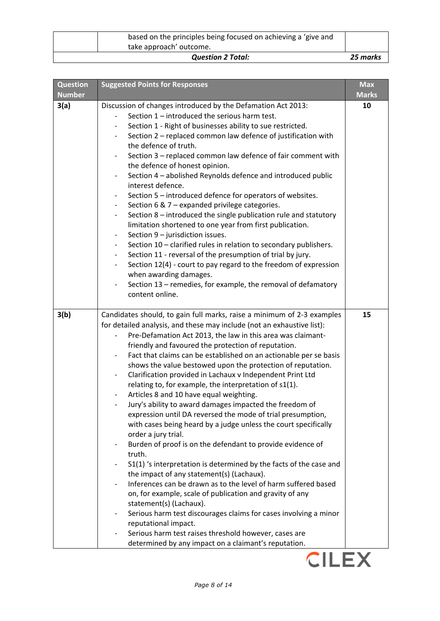| based on the principles being focused on achieving a 'give and<br>take approach' outcome. |          |
|-------------------------------------------------------------------------------------------|----------|
| <b>Question 2 Total:</b>                                                                  | 25 marks |

| <b>Question</b> | <b>Suggested Points for Responses</b>                                                                                                                                                                                                                                                                                                                                                                                                                                                                                                                                                                                                                                                                                                                                                                                                                                                                                                                                                                                                                                                                                                                                                                                                                                                                                                                             | <b>Max</b>   |
|-----------------|-------------------------------------------------------------------------------------------------------------------------------------------------------------------------------------------------------------------------------------------------------------------------------------------------------------------------------------------------------------------------------------------------------------------------------------------------------------------------------------------------------------------------------------------------------------------------------------------------------------------------------------------------------------------------------------------------------------------------------------------------------------------------------------------------------------------------------------------------------------------------------------------------------------------------------------------------------------------------------------------------------------------------------------------------------------------------------------------------------------------------------------------------------------------------------------------------------------------------------------------------------------------------------------------------------------------------------------------------------------------|--------------|
| <b>Number</b>   |                                                                                                                                                                                                                                                                                                                                                                                                                                                                                                                                                                                                                                                                                                                                                                                                                                                                                                                                                                                                                                                                                                                                                                                                                                                                                                                                                                   | <b>Marks</b> |
| 3(a)            | Discussion of changes introduced by the Defamation Act 2013:<br>Section 1 - introduced the serious harm test.<br>Section 1 - Right of businesses ability to sue restricted.<br>$\overline{\phantom{a}}$<br>Section 2 - replaced common law defence of justification with<br>the defence of truth.<br>Section 3 - replaced common law defence of fair comment with<br>$\qquad \qquad \blacksquare$<br>the defence of honest opinion.<br>Section 4 - abolished Reynolds defence and introduced public<br>interest defence.<br>Section 5 – introduced defence for operators of websites.<br>Section 6 & 7 - expanded privilege categories.<br>$\overline{\phantom{a}}$<br>Section 8 – introduced the single publication rule and statutory<br>$\overline{\phantom{a}}$<br>limitation shortened to one year from first publication.<br>Section 9 - jurisdiction issues.<br>$\overline{\phantom{a}}$<br>Section 10 - clarified rules in relation to secondary publishers.<br>Section 11 - reversal of the presumption of trial by jury.<br>$\overline{\phantom{a}}$<br>Section 12(4) - court to pay regard to the freedom of expression<br>when awarding damages.<br>Section 13 - remedies, for example, the removal of defamatory<br>$\overline{\phantom{a}}$                                                                                                         | 10           |
|                 | content online.                                                                                                                                                                                                                                                                                                                                                                                                                                                                                                                                                                                                                                                                                                                                                                                                                                                                                                                                                                                                                                                                                                                                                                                                                                                                                                                                                   |              |
| 3(b)            | Candidates should, to gain full marks, raise a minimum of 2-3 examples<br>for detailed analysis, and these may include (not an exhaustive list):<br>Pre-Defamation Act 2013, the law in this area was claimant-<br>friendly and favoured the protection of reputation.<br>Fact that claims can be established on an actionable per se basis<br>shows the value bestowed upon the protection of reputation.<br>Clarification provided in Lachaux v Independent Print Ltd<br>relating to, for example, the interpretation of s1(1).<br>Articles 8 and 10 have equal weighting.<br>Jury's ability to award damages impacted the freedom of<br>expression until DA reversed the mode of trial presumption,<br>with cases being heard by a judge unless the court specifically<br>order a jury trial.<br>Burden of proof is on the defendant to provide evidence of<br>truth.<br>S1(1) 's interpretation is determined by the facts of the case and<br>the impact of any statement(s) (Lachaux).<br>Inferences can be drawn as to the level of harm suffered based<br>on, for example, scale of publication and gravity of any<br>statement(s) (Lachaux).<br>Serious harm test discourages claims for cases involving a minor<br>reputational impact.<br>Serious harm test raises threshold however, cases are<br>determined by any impact on a claimant's reputation. | 15           |

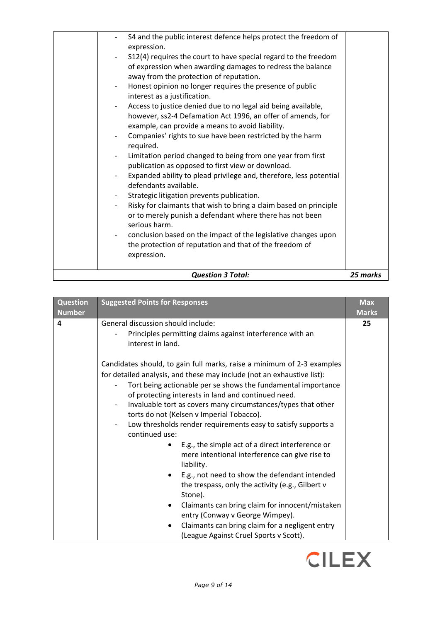| <b>Question 3 Total:</b>                                                                                                                                                 | 25 marks |
|--------------------------------------------------------------------------------------------------------------------------------------------------------------------------|----------|
| conclusion based on the impact of the legislative changes upon<br>the protection of reputation and that of the freedom of<br>expression.                                 |          |
| Risky for claimants that wish to bring a claim based on principle<br>or to merely punish a defendant where there has not been<br>serious harm.                           |          |
| defendants available.<br>Strategic litigation prevents publication.                                                                                                      |          |
| publication as opposed to first view or download.<br>Expanded ability to plead privilege and, therefore, less potential                                                  |          |
| required.<br>Limitation period changed to being from one year from first                                                                                                 |          |
| example, can provide a means to avoid liability.<br>Companies' rights to sue have been restricted by the harm                                                            |          |
| however, ss2-4 Defamation Act 1996, an offer of amends, for                                                                                                              |          |
| Honest opinion no longer requires the presence of public<br>interest as a justification.<br>Access to justice denied due to no legal aid being available,                |          |
| S12(4) requires the court to have special regard to the freedom<br>of expression when awarding damages to redress the balance<br>away from the protection of reputation. |          |
| S4 and the public interest defence helps protect the freedom of<br>expression.                                                                                           |          |

| <b>Question</b><br><b>Number</b> | <b>Suggested Points for Responses</b>                                                                                                                                                                                                                                                                                                                                                                                                                                                                                                                                                                                                                                                                                                                          | <b>Max</b><br><b>Marks</b> |
|----------------------------------|----------------------------------------------------------------------------------------------------------------------------------------------------------------------------------------------------------------------------------------------------------------------------------------------------------------------------------------------------------------------------------------------------------------------------------------------------------------------------------------------------------------------------------------------------------------------------------------------------------------------------------------------------------------------------------------------------------------------------------------------------------------|----------------------------|
| 4                                | General discussion should include:<br>Principles permitting claims against interference with an<br>interest in land.<br>Candidates should, to gain full marks, raise a minimum of 2-3 examples<br>for detailed analysis, and these may include (not an exhaustive list):<br>Tort being actionable per se shows the fundamental importance<br>of protecting interests in land and continued need.<br>Invaluable tort as covers many circumstances/types that other<br>$\overline{\phantom{a}}$<br>torts do not (Kelsen v Imperial Tobacco).<br>Low thresholds render requirements easy to satisfy supports a<br>continued use:<br>E.g., the simple act of a direct interference or<br>$\bullet$<br>mere intentional interference can give rise to<br>liability. | 25                         |
|                                  | E.g., not need to show the defendant intended<br>$\bullet$<br>the trespass, only the activity (e.g., Gilbert v<br>Stone).<br>Claimants can bring claim for innocent/mistaken<br>$\bullet$                                                                                                                                                                                                                                                                                                                                                                                                                                                                                                                                                                      |                            |
|                                  | entry (Conway v George Wimpey).<br>Claimants can bring claim for a negligent entry<br>٠<br>(League Against Cruel Sports v Scott).                                                                                                                                                                                                                                                                                                                                                                                                                                                                                                                                                                                                                              |                            |

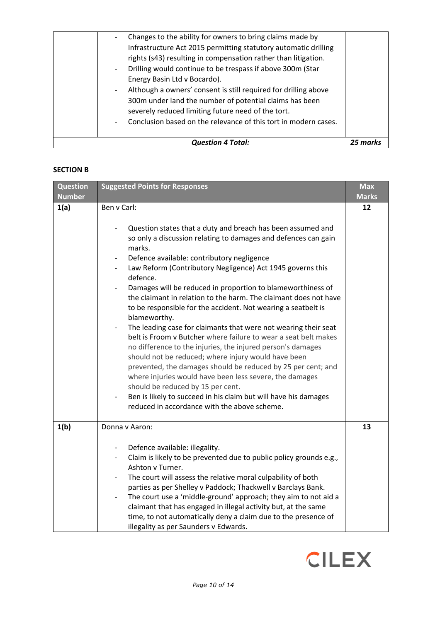| <b>Question 4 Total:</b>                                                                                                                                                                                                                                                                                                                                                                                            | 25 mark |
|---------------------------------------------------------------------------------------------------------------------------------------------------------------------------------------------------------------------------------------------------------------------------------------------------------------------------------------------------------------------------------------------------------------------|---------|
| rights (s43) resulting in compensation rather than litigation.<br>Drilling would continue to be trespass if above 300m (Star<br>Energy Basin Ltd v Bocardo).<br>Although a owners' consent is still required for drilling above<br>300m under land the number of potential claims has been<br>severely reduced limiting future need of the tort.<br>Conclusion based on the relevance of this tort in modern cases. |         |
| Changes to the ability for owners to bring claims made by<br>Infrastructure Act 2015 permitting statutory automatic drilling                                                                                                                                                                                                                                                                                        |         |

## **SECTION B**

| <b>Question</b><br><b>Number</b> | <b>Suggested Points for Responses</b>                                                                                                                                                                                                                                                                                                                                                                                                                                                                                                                                                                                                                                                                                                                                                                                                                                                                                                                                                                                                             | <b>Max</b><br><b>Marks</b> |
|----------------------------------|---------------------------------------------------------------------------------------------------------------------------------------------------------------------------------------------------------------------------------------------------------------------------------------------------------------------------------------------------------------------------------------------------------------------------------------------------------------------------------------------------------------------------------------------------------------------------------------------------------------------------------------------------------------------------------------------------------------------------------------------------------------------------------------------------------------------------------------------------------------------------------------------------------------------------------------------------------------------------------------------------------------------------------------------------|----------------------------|
| 1(a)                             | Ben v Carl:<br>Question states that a duty and breach has been assumed and<br>so only a discussion relating to damages and defences can gain<br>marks.<br>Defence available: contributory negligence<br>Law Reform (Contributory Negligence) Act 1945 governs this<br>defence.<br>Damages will be reduced in proportion to blameworthiness of<br>the claimant in relation to the harm. The claimant does not have<br>to be responsible for the accident. Not wearing a seatbelt is<br>blameworthy.<br>The leading case for claimants that were not wearing their seat<br>belt is Froom v Butcher where failure to wear a seat belt makes<br>no difference to the injuries, the injured person's damages<br>should not be reduced; where injury would have been<br>prevented, the damages should be reduced by 25 per cent; and<br>where injuries would have been less severe, the damages<br>should be reduced by 15 per cent.<br>Ben is likely to succeed in his claim but will have his damages<br>reduced in accordance with the above scheme. | 12                         |
| 1(b)                             | Donna v Aaron:<br>Defence available: illegality.<br>Claim is likely to be prevented due to public policy grounds e.g.,<br>Ashton v Turner.<br>The court will assess the relative moral culpability of both<br>parties as per Shelley v Paddock; Thackwell v Barclays Bank.<br>The court use a 'middle-ground' approach; they aim to not aid a<br>$\overline{\phantom{0}}$<br>claimant that has engaged in illegal activity but, at the same<br>time, to not automatically deny a claim due to the presence of<br>illegality as per Saunders v Edwards.                                                                                                                                                                                                                                                                                                                                                                                                                                                                                            | 13                         |

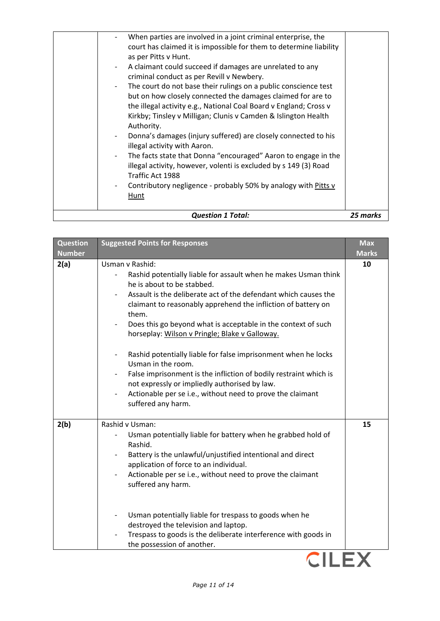| Traffic Act 1988<br>Contributory negligence - probably 50% by analogy with Pitts v<br>Hunt                                                                                                                                                          |  |
|-----------------------------------------------------------------------------------------------------------------------------------------------------------------------------------------------------------------------------------------------------|--|
| illegal activity with Aaron.<br>The facts state that Donna "encouraged" Aaron to engage in the<br>$\overline{\phantom{0}}$<br>illegal activity, however, volenti is excluded by s 149 (3) Road                                                      |  |
| Authority.<br>Donna's damages (injury suffered) are closely connected to his                                                                                                                                                                        |  |
| but on how closely connected the damages claimed for are to<br>the illegal activity e.g., National Coal Board v England; Cross v<br>Kirkby; Tinsley v Milligan; Clunis v Camden & Islington Health                                                  |  |
| criminal conduct as per Revill v Newbery.<br>The court do not base their rulings on a public conscience test<br>$\overline{\phantom{a}}$                                                                                                            |  |
| When parties are involved in a joint criminal enterprise, the<br>court has claimed it is impossible for them to determine liability<br>as per Pitts v Hunt.<br>A claimant could succeed if damages are unrelated to any<br>$\overline{\phantom{a}}$ |  |

| <b>Question</b><br><b>Number</b> | <b>Suggested Points for Responses</b>                                                                                                                                                                                                                                                                                                                                                                                                                                                                                                                                                                                                                                                                          | <b>Max</b><br><b>Marks</b> |
|----------------------------------|----------------------------------------------------------------------------------------------------------------------------------------------------------------------------------------------------------------------------------------------------------------------------------------------------------------------------------------------------------------------------------------------------------------------------------------------------------------------------------------------------------------------------------------------------------------------------------------------------------------------------------------------------------------------------------------------------------------|----------------------------|
| 2(a)                             | Usman v Rashid:<br>Rashid potentially liable for assault when he makes Usman think<br>he is about to be stabbed.<br>Assault is the deliberate act of the defendant which causes the<br>claimant to reasonably apprehend the infliction of battery on<br>them.<br>Does this go beyond what is acceptable in the context of such<br>horseplay: Wilson v Pringle; Blake v Galloway.<br>Rashid potentially liable for false imprisonment when he locks<br>Usman in the room.<br>False imprisonment is the infliction of bodily restraint which is<br>not expressly or impliedly authorised by law.<br>Actionable per se i.e., without need to prove the claimant<br>$\overline{\phantom{0}}$<br>suffered any harm. | 10                         |
| 2(b)                             | Rashid v Usman:<br>Usman potentially liable for battery when he grabbed hold of<br>Rashid.<br>Battery is the unlawful/unjustified intentional and direct<br>application of force to an individual.<br>Actionable per se i.e., without need to prove the claimant<br>suffered any harm.<br>Usman potentially liable for trespass to goods when he<br>destroyed the television and laptop.<br>Trespass to goods is the deliberate interference with goods in<br>the possession of another.                                                                                                                                                                                                                       | 15                         |

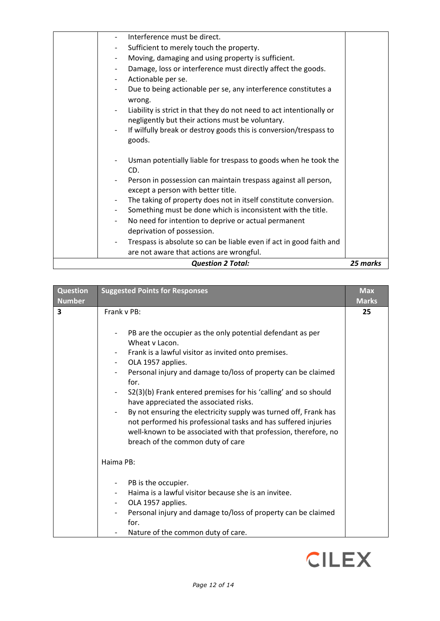| <b>Question 2 Total:</b>                                                                 | 25 marks |
|------------------------------------------------------------------------------------------|----------|
| are not aware that actions are wrongful.                                                 |          |
| Trespass is absolute so can be liable even if act in good faith and                      |          |
| deprivation of possession.                                                               |          |
| No need for intention to deprive or actual permanent<br>$\overline{\phantom{a}}$         |          |
| Something must be done which is inconsistent with the title.                             |          |
| The taking of property does not in itself constitute conversion.                         |          |
| except a person with better title.                                                       |          |
| Person in possession can maintain trespass against all person,                           |          |
| CD.                                                                                      |          |
| Usman potentially liable for trespass to goods when he took the                          |          |
| goods.                                                                                   |          |
| If wilfully break or destroy goods this is conversion/trespass to                        |          |
| negligently but their actions must be voluntary.                                         |          |
| Liability is strict in that they do not need to act intentionally or                     |          |
| wrong.                                                                                   |          |
| Due to being actionable per se, any interference constitutes a                           |          |
| Actionable per se.<br>$\overline{\phantom{a}}$                                           |          |
| Damage, loss or interference must directly affect the goods.<br>$\overline{\phantom{a}}$ |          |
| Moving, damaging and using property is sufficient.<br>-                                  |          |
| Sufficient to merely touch the property.<br>$\overline{\phantom{a}}$                     |          |
| Interference must be direct.                                                             |          |

| <b>Question</b><br><b>Number</b> | <b>Suggested Points for Responses</b>                                                                                                                                                                                                                                                                                                                                                                                                                                                                                                                                                                       | <b>Max</b><br><b>Marks</b> |
|----------------------------------|-------------------------------------------------------------------------------------------------------------------------------------------------------------------------------------------------------------------------------------------------------------------------------------------------------------------------------------------------------------------------------------------------------------------------------------------------------------------------------------------------------------------------------------------------------------------------------------------------------------|----------------------------|
| 3                                | Frank v PB:<br>PB are the occupier as the only potential defendant as per<br>Wheat v Lacon.<br>Frank is a lawful visitor as invited onto premises.<br>OLA 1957 applies.<br>Personal injury and damage to/loss of property can be claimed<br>for.<br>S2(3)(b) Frank entered premises for his 'calling' and so should<br>have appreciated the associated risks.<br>By not ensuring the electricity supply was turned off, Frank has<br>not performed his professional tasks and has suffered injuries<br>well-known to be associated with that profession, therefore, no<br>breach of the common duty of care | 25                         |
|                                  | Haima PB:<br>PB is the occupier.<br>Haima is a lawful visitor because she is an invitee.<br>OLA 1957 applies.<br>Personal injury and damage to/loss of property can be claimed<br>for.<br>Nature of the common duty of care.                                                                                                                                                                                                                                                                                                                                                                                |                            |

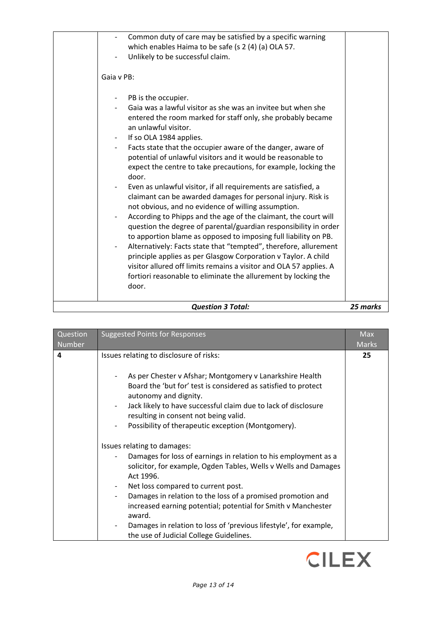| <b>Question 3 Total:</b>                                                                                                                                                                                                                                                                                                                                                                                                                                                                                                                                                                                                                                                                                                                                                                                                                                                                                                                                                                                                                                                                                                               | 25 marks |
|----------------------------------------------------------------------------------------------------------------------------------------------------------------------------------------------------------------------------------------------------------------------------------------------------------------------------------------------------------------------------------------------------------------------------------------------------------------------------------------------------------------------------------------------------------------------------------------------------------------------------------------------------------------------------------------------------------------------------------------------------------------------------------------------------------------------------------------------------------------------------------------------------------------------------------------------------------------------------------------------------------------------------------------------------------------------------------------------------------------------------------------|----------|
| PB is the occupier.<br>$\overline{\phantom{0}}$<br>Gaia was a lawful visitor as she was an invitee but when she<br>entered the room marked for staff only, she probably became<br>an unlawful visitor.<br>If so OLA 1984 applies.<br>Facts state that the occupier aware of the danger, aware of<br>potential of unlawful visitors and it would be reasonable to<br>expect the centre to take precautions, for example, locking the<br>door.<br>Even as unlawful visitor, if all requirements are satisfied, a<br>claimant can be awarded damages for personal injury. Risk is<br>not obvious, and no evidence of willing assumption.<br>According to Phipps and the age of the claimant, the court will<br>question the degree of parental/guardian responsibility in order<br>to apportion blame as opposed to imposing full liability on PB.<br>Alternatively: Facts state that "tempted", therefore, allurement<br>principle applies as per Glasgow Corporation v Taylor. A child<br>visitor allured off limits remains a visitor and OLA 57 applies. A<br>fortiori reasonable to eliminate the allurement by locking the<br>door. |          |
| Gaia v PB:                                                                                                                                                                                                                                                                                                                                                                                                                                                                                                                                                                                                                                                                                                                                                                                                                                                                                                                                                                                                                                                                                                                             |          |
| which enables Haima to be safe (s 2 (4) (a) OLA 57.<br>Unlikely to be successful claim.                                                                                                                                                                                                                                                                                                                                                                                                                                                                                                                                                                                                                                                                                                                                                                                                                                                                                                                                                                                                                                                |          |
| Common duty of care may be satisfied by a specific warning                                                                                                                                                                                                                                                                                                                                                                                                                                                                                                                                                                                                                                                                                                                                                                                                                                                                                                                                                                                                                                                                             |          |

| Question<br><b>Number</b> | <b>Suggested Points for Responses</b>                                                                                                                                                                                                                                                                                                                                                                                                                                          | <b>Max</b><br><b>Marks</b> |
|---------------------------|--------------------------------------------------------------------------------------------------------------------------------------------------------------------------------------------------------------------------------------------------------------------------------------------------------------------------------------------------------------------------------------------------------------------------------------------------------------------------------|----------------------------|
| 4                         | Issues relating to disclosure of risks:<br>As per Chester v Afshar; Montgomery v Lanarkshire Health<br>Board the 'but for' test is considered as satisfied to protect<br>autonomy and dignity.<br>Jack likely to have successful claim due to lack of disclosure<br>resulting in consent not being valid.<br>Possibility of therapeutic exception (Montgomery).                                                                                                                | 25                         |
|                           | Issues relating to damages:<br>Damages for loss of earnings in relation to his employment as a<br>solicitor, for example, Ogden Tables, Wells v Wells and Damages<br>Act 1996.<br>Net loss compared to current post.<br>Damages in relation to the loss of a promised promotion and<br>increased earning potential; potential for Smith v Manchester<br>award.<br>Damages in relation to loss of 'previous lifestyle', for example,<br>the use of Judicial College Guidelines. |                            |